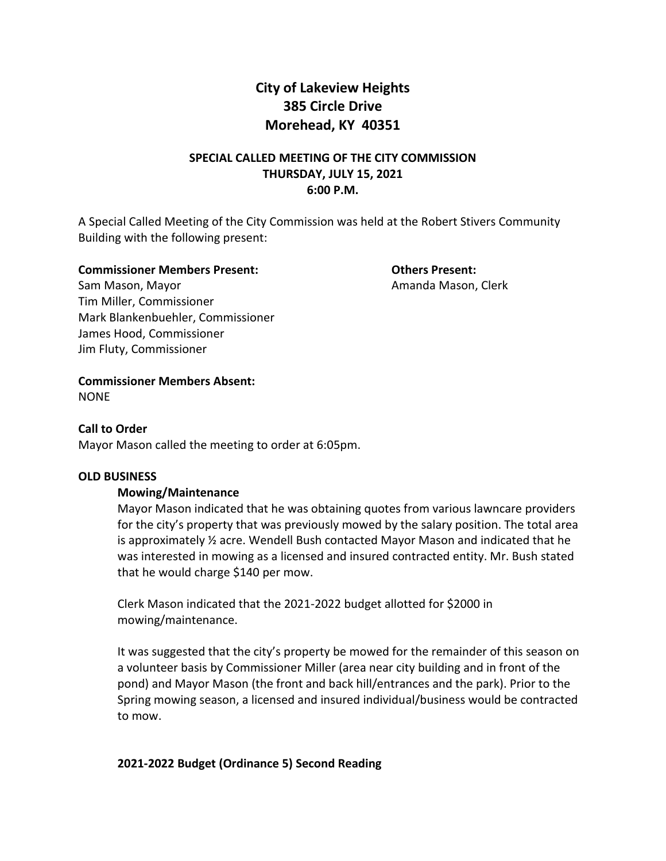# **City of Lakeview Heights 385 Circle Drive Morehead, KY 40351**

## **SPECIAL CALLED MEETING OF THE CITY COMMISSION THURSDAY, JULY 15, 2021 6:00 P.M.**

A Special Called Meeting of the City Commission was held at the Robert Stivers Community Building with the following present:

#### **Commissioner Members Present: Others Present:**

Sam Mason, Mayor **Amanda Mason, Clerk** Amanda Mason, Clerk Tim Miller, Commissioner Mark Blankenbuehler, Commissioner James Hood, Commissioner Jim Fluty, Commissioner

**Commissioner Members Absent:**  NONE

### **Call to Order**

Mayor Mason called the meeting to order at 6:05pm.

#### **OLD BUSINESS**

#### **Mowing/Maintenance**

Mayor Mason indicated that he was obtaining quotes from various lawncare providers for the city's property that was previously mowed by the salary position. The total area is approximately ½ acre. Wendell Bush contacted Mayor Mason and indicated that he was interested in mowing as a licensed and insured contracted entity. Mr. Bush stated that he would charge \$140 per mow.

Clerk Mason indicated that the 2021-2022 budget allotted for \$2000 in mowing/maintenance.

It was suggested that the city's property be mowed for the remainder of this season on a volunteer basis by Commissioner Miller (area near city building and in front of the pond) and Mayor Mason (the front and back hill/entrances and the park). Prior to the Spring mowing season, a licensed and insured individual/business would be contracted to mow.

#### **2021-2022 Budget (Ordinance 5) Second Reading**